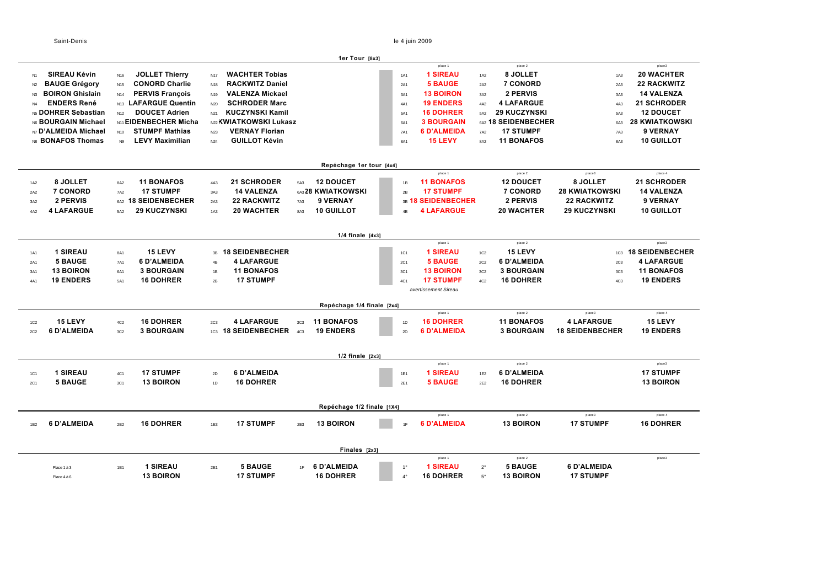$\sim$ 

Saint-Denis le 4 juin 2009

*avertissement Sireau*

|                               |                                            |                 |                        | 1er Tour [8x3]                |            |                    |                 |                     |                       |                        |
|-------------------------------|--------------------------------------------|-----------------|------------------------|-------------------------------|------------|--------------------|-----------------|---------------------|-----------------------|------------------------|
|                               |                                            |                 |                        |                               |            | place 1            |                 | place 2             |                       | place3                 |
| <b>SIREAU Kévin</b><br>N1     | <b>JOLLET Thierry</b><br>N16               | N <sub>17</sub> | <b>WACHTER Tobias</b>  |                               | <b>1A1</b> | <b>1 SIREAU</b>    | 1A2             | 8 JOLLET            | <b>1A3</b>            | <b>20 WACHTER</b>      |
| <b>BAUGE Grégory</b><br>N2    | <b>CONORD Charlie</b><br>N <sub>15</sub>   | N18             | <b>RACKWITZ Daniel</b> |                               | 2A1        | <b>5 BAUGE</b>     | 2A2             | <b>7 CONORD</b>     | 2A3                   | <b>22 RACKWITZ</b>     |
| <b>BOIRON Ghislain</b><br>N3  | <b>PERVIS François</b><br>N <sub>14</sub>  | N <sub>19</sub> | <b>VALENZA Mickael</b> |                               | 3A1        | <b>13 BOIRON</b>   | 3A2             | 2 PERVIS            | 3A3                   | <b>14 VALENZA</b>      |
| <b>ENDERS René</b>            | <b>LAFARGUE Quentin</b><br>N <sub>13</sub> | N20             | <b>SCHRODER Marc</b>   |                               | 4A1        | <b>19 ENDERS</b>   | 4A2             | <b>4 LAFARGUE</b>   | 4A3                   | <b>21 SCHRODER</b>     |
| MS DOHRER Sebastian           | <b>DOUCET Adrien</b><br>N <sub>12</sub>    | N <sub>21</sub> | <b>KUCZYNSKI Kamil</b> |                               | 5A1        | <b>16 DOHRER</b>   | 5A2             | <b>29 KUCZYNSKI</b> | 5A3                   | <b>12 DOUCET</b>       |
| M6 BOURGAIN Michael           | <b>N11 EIDENBECHER Micha</b>               |                 | N22 KWIATKOWSKI Lukasz |                               | 6A1        | <b>3 BOURGAIN</b>  |                 | 642 18 SEIDENBECHER | 6A3                   | <b>28 KWIATKOWSKI</b>  |
| N7 D'ALMEIDA Michael          | <b>STUMPF Mathias</b><br>N <sub>10</sub>   | N <sub>23</sub> | <b>VERNAY Florian</b>  |                               | <b>7A1</b> | <b>6 D'ALMEIDA</b> | 7A2             | <b>17 STUMPF</b>    | <b>7A3</b>            | 9 VERNAY               |
| <b>N8 BONAFOS Thomas</b>      | <b>LEVY Maximilian</b><br>N <sub>9</sub>   | N <sub>24</sub> | <b>GUILLOT Kévin</b>   |                               | 8A1        | <b>15 LEVY</b>     | 8A2             | <b>11 BONAFOS</b>   | 8A3                   | <b>10 GUILLOT</b>      |
|                               |                                            |                 |                        |                               |            |                    |                 |                     |                       |                        |
|                               |                                            |                 |                        |                               |            |                    |                 |                     |                       |                        |
|                               |                                            |                 |                        |                               |            |                    |                 |                     |                       |                        |
|                               |                                            |                 |                        | Repéchage 1er tour [4x4]      |            |                    |                 |                     |                       |                        |
|                               |                                            |                 |                        |                               |            | place 1            |                 | place 2             | place3                | place 4                |
| 8 JOLLET<br>1A2               | <b>11 BONAFOS</b><br>8A2                   | 4A3             | <b>21 SCHRODER</b>     | <b>12 DOUCET</b><br>5A3       | 1B         | <b>11 BONAFOS</b>  |                 | <b>12 DOUCET</b>    | 8 JOLLET              | <b>21 SCHRODER</b>     |
| 7 CONORD<br>2A2               | <b>17 STUMPF</b><br>7A2                    | 3A3             | <b>14 VALENZA</b>      | 6A3 28 KWIATKOWSKI            | 2B         | <b>17 STUMPF</b>   |                 | <b>7 CONORD</b>     | <b>28 KWIATKOWSKI</b> | <b>14 VALENZA</b>      |
| <b>2 PERVIS</b><br>3A2        | 642 18 SEIDENBECHER                        | 2A3             | <b>22 RACKWITZ</b>     | <b>9 VERNAY</b><br><b>7A3</b> |            | 38 18 SEIDENBECHER |                 | 2 PERVIS            | <b>22 RACKWITZ</b>    | <b>9 VERNAY</b>        |
| <b>4 LAFARGUE</b><br>4A2      | <b>29 KUCZYNSKI</b><br>5A2                 | 1A3             | <b>20 WACHTER</b>      | <b>10 GUILLOT</b><br>8A3      | 4B         | <b>4 LAFARGUE</b>  |                 | <b>20 WACHTER</b>   | <b>29 KUCZYNSKI</b>   | <b>10 GUILLOT</b>      |
|                               |                                            |                 |                        |                               |            |                    |                 |                     |                       |                        |
|                               |                                            |                 |                        | $1/4$ finale $[4x3]$          |            |                    |                 |                     |                       |                        |
|                               |                                            |                 |                        |                               |            | place 1            |                 | place 2             |                       | place3                 |
| <b>1 SIREAU</b><br><b>1A1</b> | 15 LEVY<br>8A1                             |                 | 38 18 SEIDENBECHER     |                               | 1C1        | <b>1 SIREAU</b>    | 1C <sub>2</sub> | 15 LEVY             | 1C <sub>3</sub>       | <b>18 SEIDENBECHER</b> |
| <b>5 BAUGE</b><br>2A1         | 6 D'ALMEIDA<br><b>7A1</b>                  | 4B              | <b>4 LAFARGUE</b>      |                               | 2C1        | <b>5 BAUGE</b>     | 2C <sub>2</sub> | 6 D'ALMEIDA         | <b>2C3</b>            | <b>4 LAFARGUE</b>      |
| <b>13 BOIRON</b><br>3A1       | <b>3 BOURGAIN</b><br>6A1                   | 1B              | <b>11 BONAFOS</b>      |                               | 3C1        | <b>13 BOIRON</b>   | 3C2             | <b>3 BOURGAIN</b>   | 3C <sub>3</sub>       | <b>11 BONAFOS</b>      |

#### place 1 place 2 place 2 place 2 place 3 place 4 place 4 place 4 place 4 place 4 place 4 place 4 place 4 place 4 1C2 **15 LEVY** 4C2 **16 DOHRER** 2C3 **4 LAFARGUE** 3C3 **11 BONAFOS** 1D **16 DOHRER 11 BONAFOS 4 LAFARGUE 15 LEVY**  2C2 **6 D'ALMEIDA** 3C2 **3 BOURGAIN** 1C3 **18 SEIDENBECHER** 4C3 **19 ENDERS** 2D **6 D'ALMEIDA 3 BOURGAIN 18 SEIDENBECHER 19 ENDERS RepÄchage 1/4 finale [2x4]**

|                   |                                   |            |                                      |          |                                    |      | $1/2$ finale $[2x3]$            |                            |                                                |                          |                                                   |                                        |                                                |
|-------------------|-----------------------------------|------------|--------------------------------------|----------|------------------------------------|------|---------------------------------|----------------------------|------------------------------------------------|--------------------------|---------------------------------------------------|----------------------------------------|------------------------------------------------|
| <b>1C1</b><br>2C1 | <b>1 SIREAU</b><br><b>5 BAUGE</b> | 4C1<br>3C1 | <b>17 STUMPF</b><br><b>13 BOIRON</b> | 2D<br>1D | 6 D'ALMEIDA<br><b>16 DOHRER</b>    |      |                                 | <b>1E1</b><br>2E1          | place 1<br><b>1 SIREAU</b><br><b>5 BAUGE</b>   | 1F2<br>2E2               | place 2<br><b>6 D'ALMEIDA</b><br><b>16 DOHRER</b> |                                        | place3<br><b>17 STUMPF</b><br><b>13 BOIRON</b> |
|                   |                                   |            |                                      |          |                                    |      | Repéchage 1/2 finale [1X4]      |                            |                                                |                          |                                                   |                                        |                                                |
| 1E2               | <b>6 D'ALMEIDA</b>                | 2E2        | <b>16 DOHRER</b>                     | 1E3      | <b>17 STUMPF</b>                   | 2E3  | <b>13 BOIRON</b>                | 1F                         | place 1<br><b>6 D'ALMEIDA</b>                  |                          | place 2<br><b>13 BOIRON</b>                       | place3<br><b>17 STUMPF</b>             | place 4<br><b>16 DOHRER</b>                    |
|                   |                                   |            |                                      |          |                                    |      | Finales [2x3]                   |                            |                                                |                          |                                                   |                                        |                                                |
|                   | Place 1 à 3<br>Place 4 à 6        | 1E1        | <b>SIREAU</b><br><b>13 BOIRON</b>    | 2E1      | <b>5 BAUGE</b><br><b>17 STUMPF</b> | 1E = | 6 D'ALMEIDA<br><b>16 DOHRER</b> | $1^{\circ}$<br>$4^{\circ}$ | place 1<br><b>1 SIREAU</b><br><b>16 DOHRER</b> | $2^{\circ}$<br>$5^\circ$ | place 2<br><b>5 BAUGE</b><br><b>13 BOIRON</b>     | <b>6 D'ALMEIDA</b><br><b>17 STUMPF</b> | place3                                         |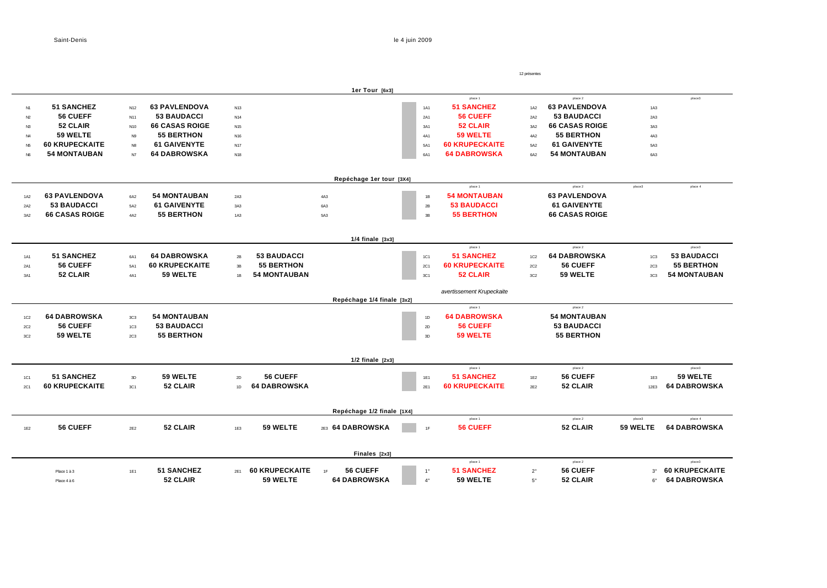Saint-Denis le 4 juin 2009

|                 |                       |                 |                       |                 | 12 présentes          |                            |               |                           |                 |                       |                 |                       |  |
|-----------------|-----------------------|-----------------|-----------------------|-----------------|-----------------------|----------------------------|---------------|---------------------------|-----------------|-----------------------|-----------------|-----------------------|--|
|                 |                       |                 |                       |                 |                       | 1er Tour [6x3]             |               |                           |                 |                       |                 |                       |  |
|                 |                       |                 |                       |                 |                       |                            |               | place 1                   |                 | place 2               |                 | place3                |  |
| N1              | <b>51 SANCHEZ</b>     | N <sub>12</sub> | <b>63 PAVLENDOVA</b>  | N <sub>13</sub> |                       |                            | <b>1A1</b>    | <b>51 SANCHEZ</b>         | <b>1A2</b>      | <b>63 PAVLENDOVA</b>  | 1A3             |                       |  |
| N2              | 56 CUEFF              | N <sub>11</sub> | <b>53 BAUDACCI</b>    | N <sub>14</sub> |                       |                            | 2A1           | <b>56 CUEFF</b>           | 2A2             | <b>53 BAUDACCI</b>    | 2A3             |                       |  |
| N <sub>3</sub>  | 52 CLAIR              | N <sub>10</sub> | <b>66 CASAS ROIGE</b> | N <sub>15</sub> |                       |                            | 3A1           | 52 CLAIR                  | 3A2             | <b>66 CASAS ROIGE</b> | 3A3             |                       |  |
| N <sub>4</sub>  | 59 WELTE              | N9              | <b>55 BERTHON</b>     | N <sub>16</sub> |                       |                            | 4A1           | <b>59 WELTE</b>           | 4A2             | <b>55 BERTHON</b>     | 4A3             |                       |  |
| <b>N5</b>       | <b>60 KRUPECKAITE</b> | <b>N8</b>       | <b>61 GAIVENYTE</b>   | <b>N17</b>      |                       |                            | 5A1           | <b>60 KRUPECKAITE</b>     | 5A2             | <b>61 GAIVENYTE</b>   | 5A3             |                       |  |
| N <sub>6</sub>  | <b>54 MONTAUBAN</b>   | N7              | <b>64 DABROWSKA</b>   | N <sub>18</sub> |                       |                            | 6A1           | <b>64 DABROWSKA</b>       | 6A2             | <b>54 MONTAUBAN</b>   | 6A3             |                       |  |
|                 |                       |                 |                       |                 |                       | Repéchage 1er tour [3X4]   |               |                           |                 |                       |                 |                       |  |
|                 |                       |                 |                       |                 |                       |                            |               | place 1                   |                 | place 2               | place3          | place 4               |  |
| <b>1A2</b>      | <b>63 PAVLENDOVA</b>  | 6A2             | <b>54 MONTAUBAN</b>   | 2A3             |                       | 4A3                        | 1B            | <b>54 MONTAUBAN</b>       |                 | <b>63 PAVLENDOVA</b>  |                 |                       |  |
| 2A2             | <b>53 BAUDACCI</b>    | 5A2             | <b>61 GAIVENYTE</b>   | 3A3             |                       | 6A3                        | 2B            | <b>53 BAUDACCI</b>        |                 | <b>61 GAIVENYTE</b>   |                 |                       |  |
| 3A2             | <b>66 CASAS ROIGE</b> | 4A2             | <b>55 BERTHON</b>     | 1A3             |                       | 5A3                        | 3B            | <b>55 BERTHON</b>         |                 | <b>66 CASAS ROIGE</b> |                 |                       |  |
|                 |                       |                 |                       |                 |                       | $1/4$ finale $[3x3]$       |               |                           |                 |                       |                 |                       |  |
|                 |                       |                 |                       |                 |                       |                            |               | place 1                   |                 | place 2               |                 | place3                |  |
| <b>1A1</b>      | <b>51 SANCHEZ</b>     | 6A1             | <b>64 DABROWSKA</b>   | 2B              | <b>53 BAUDACCI</b>    |                            | 1C1           | <b>51 SANCHEZ</b>         | 1C <sub>2</sub> | <b>64 DABROWSKA</b>   | 1C <sub>3</sub> | <b>53 BAUDACCI</b>    |  |
| 2A1             | 56 CUEFF              | 5A1             | <b>60 KRUPECKAITE</b> | 3B              | <b>55 BERTHON</b>     |                            | <b>2C1</b>    | <b>60 KRUPECKAITE</b>     | <b>2C2</b>      | 56 CUEFF              | 2C <sub>3</sub> | <b>55 BERTHON</b>     |  |
| 3A1             | 52 CLAIR              | 4A1             | 59 WELTE              | 1B              | <b>54 MONTAUBAN</b>   |                            | 3C1           | 52 CLAIR                  | 3C2             | 59 WELTE              | 3C <sub>3</sub> | <b>54 MONTAUBAN</b>   |  |
|                 |                       |                 |                       |                 |                       | Repéchage 1/4 finale [3x2] |               | avertissement Krupeckaite |                 |                       |                 |                       |  |
|                 |                       |                 |                       |                 |                       |                            |               | place 1                   |                 | place 2               |                 |                       |  |
| 1C <sub>2</sub> | <b>64 DABROWSKA</b>   | 3C <sub>3</sub> | <b>54 MONTAUBAN</b>   |                 |                       |                            | 1D            | <b>64 DABROWSKA</b>       |                 | <b>54 MONTAUBAN</b>   |                 |                       |  |
| <b>2C2</b>      | 56 CUEFF              | 1C <sub>3</sub> | <b>53 BAUDACCI</b>    |                 |                       |                            | $2\mathsf{D}$ | 56 CUEFF                  |                 | <b>53 BAUDACCI</b>    |                 |                       |  |
| 3C2             | 59 WELTE              | 2C <sub>3</sub> | <b>55 BERTHON</b>     |                 |                       |                            | 3D            | 59 WELTE                  |                 | <b>55 BERTHON</b>     |                 |                       |  |
|                 |                       |                 |                       |                 |                       | $1/2$ finale $[2x3]$       |               |                           |                 |                       |                 |                       |  |
|                 |                       |                 |                       |                 |                       |                            |               | place 1                   |                 | place 2               |                 | place3                |  |
| <b>1C1</b>      | <b>51 SANCHEZ</b>     | 3D              | 59 WELTE              | 2D              | 56 CUEFF              |                            | <b>1E1</b>    | <b>51 SANCHEZ</b>         | 1E2             | 56 CUEFF              | 1E3             | 59 WELTE              |  |
| <b>2C1</b>      | <b>60 KRUPECKAITE</b> | 3C1             | 52 CLAIR              | 1D              | <b>64 DABROWSKA</b>   |                            | 2E1           | <b>60 KRUPECKAITE</b>     | 2E2             | 52 CLAIR              | 12E3            | <b>64 DABROWSKA</b>   |  |
|                 |                       |                 |                       |                 |                       |                            |               |                           |                 |                       |                 |                       |  |
|                 |                       |                 |                       |                 |                       | Repéchage 1/2 finale [1X4] |               | place 1                   |                 | place 2               | place3          | place 4               |  |
| 1E2             | 56 CUEFF              | 2E2             | 52 CLAIR              | 1E3             | 59 WELTE              | 2E3 64 DABROWSKA           | 1F            | <b>56 CUEFF</b>           |                 | 52 CLAIR              | 59 WELTE        | <b>64 DABROWSKA</b>   |  |
|                 |                       |                 |                       |                 |                       |                            |               |                           |                 |                       |                 |                       |  |
|                 |                       |                 |                       |                 |                       | Finales [2x3]              |               | place 1                   |                 | place 2               |                 | place3                |  |
|                 | Place 1 à 3           | <b>1E1</b>      | <b>51 SANCHEZ</b>     | 2E1             | <b>60 KRUPECKAITE</b> | 56 CUEFF<br>1F             | $1^{\circ}$   | <b>51 SANCHEZ</b>         | $2^{\circ}$     | 56 CUEFF              | $3^{\circ}$     | <b>60 KRUPECKAITE</b> |  |
|                 |                       |                 | 52 CLAIR              |                 | 59 WELTE              | <b>64 DABROWSKA</b>        | $4^{\circ}$   | 59 WELTE                  | $5^{\circ}$     | 52 CLAIR              | $6^{\circ}$     | <b>64 DABROWSKA</b>   |  |
|                 | Place 4 à 6           |                 |                       |                 |                       |                            |               |                           |                 |                       |                 |                       |  |